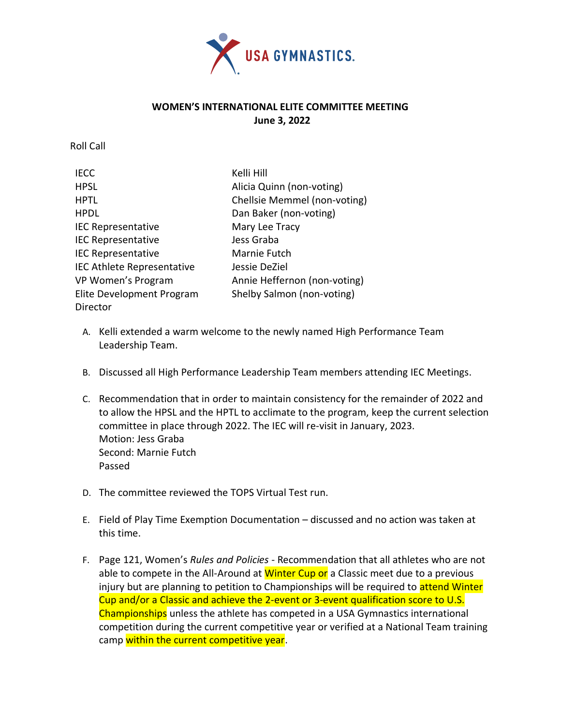

## **WOMEN'S INTERNATIONAL ELITE COMMITTEE MEETING June 3, 2022**

Roll Call

| <b>IECC</b>                       | Kelli Hill                   |
|-----------------------------------|------------------------------|
| <b>HPSL</b>                       | Alicia Quinn (non-voting)    |
| <b>HPTL</b>                       | Chellsie Memmel (non-voting) |
| <b>HPDL</b>                       | Dan Baker (non-voting)       |
| <b>IEC Representative</b>         | Mary Lee Tracy               |
| <b>IEC Representative</b>         | Jess Graba                   |
| <b>IEC Representative</b>         | Marnie Futch                 |
| <b>IEC Athlete Representative</b> | Jessie DeZiel                |
| VP Women's Program                | Annie Heffernon (non-voting) |
| Elite Development Program         | Shelby Salmon (non-voting)   |
| Director                          |                              |

- A. Kelli extended a warm welcome to the newly named High Performance Team Leadership Team.
- B. Discussed all High Performance Leadership Team members attending IEC Meetings.
- C. Recommendation that in order to maintain consistency for the remainder of 2022 and to allow the HPSL and the HPTL to acclimate to the program, keep the current selection committee in place through 2022. The IEC will re-visit in January, 2023. Motion: Jess Graba Second: Marnie Futch Passed
- D. The committee reviewed the TOPS Virtual Test run.
- E. Field of Play Time Exemption Documentation discussed and no action was taken at this time.
- F. Page 121, Women's *Rules and Policies* Recommendation that all athletes who are not able to compete in the All-Around at Winter Cup or a Classic meet due to a previous injury but are planning to petition to Championships will be required to attend Winter Cup and/or a Classic and achieve the 2-event or 3-event qualification score to U.S. Championships unless the athlete has competed in a USA Gymnastics international competition during the current competitive year or verified at a National Team training camp within the current competitive year.